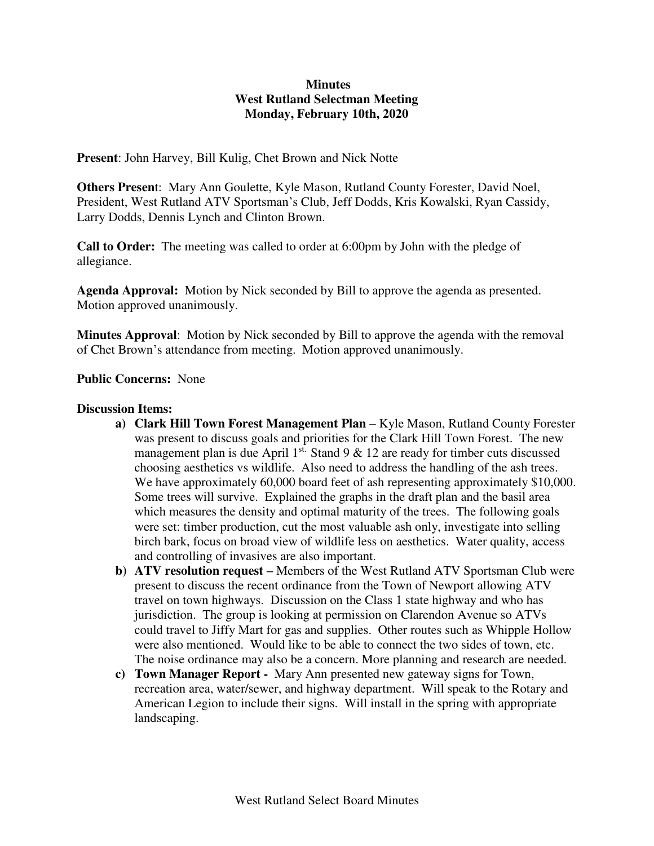## **Minutes West Rutland Selectman Meeting Monday, February 10th, 2020**

**Present**: John Harvey, Bill Kulig, Chet Brown and Nick Notte

**Others Presen**t: Mary Ann Goulette, Kyle Mason, Rutland County Forester, David Noel, President, West Rutland ATV Sportsman's Club, Jeff Dodds, Kris Kowalski, Ryan Cassidy, Larry Dodds, Dennis Lynch and Clinton Brown.

**Call to Order:** The meeting was called to order at 6:00pm by John with the pledge of allegiance.

**Agenda Approval:** Motion by Nick seconded by Bill to approve the agenda as presented. Motion approved unanimously.

**Minutes Approval**: Motion by Nick seconded by Bill to approve the agenda with the removal of Chet Brown's attendance from meeting. Motion approved unanimously.

**Public Concerns:** None

## **Discussion Items:**

- **a) Clark Hill Town Forest Management Plan**  Kyle Mason, Rutland County Forester was present to discuss goals and priorities for the Clark Hill Town Forest. The new management plan is due April  $1^{st}$ . Stand 9 & 12 are ready for timber cuts discussed choosing aesthetics vs wildlife. Also need to address the handling of the ash trees. We have approximately 60,000 board feet of ash representing approximately \$10,000. Some trees will survive. Explained the graphs in the draft plan and the basil area which measures the density and optimal maturity of the trees. The following goals were set: timber production, cut the most valuable ash only, investigate into selling birch bark, focus on broad view of wildlife less on aesthetics. Water quality, access and controlling of invasives are also important.
- **b) ATV resolution request –** Members of the West Rutland ATV Sportsman Club were present to discuss the recent ordinance from the Town of Newport allowing ATV travel on town highways. Discussion on the Class 1 state highway and who has jurisdiction. The group is looking at permission on Clarendon Avenue so ATVs could travel to Jiffy Mart for gas and supplies. Other routes such as Whipple Hollow were also mentioned. Would like to be able to connect the two sides of town, etc. The noise ordinance may also be a concern. More planning and research are needed.
- **c) Town Manager Report** Mary Ann presented new gateway signs for Town, recreation area, water/sewer, and highway department. Will speak to the Rotary and American Legion to include their signs. Will install in the spring with appropriate landscaping.